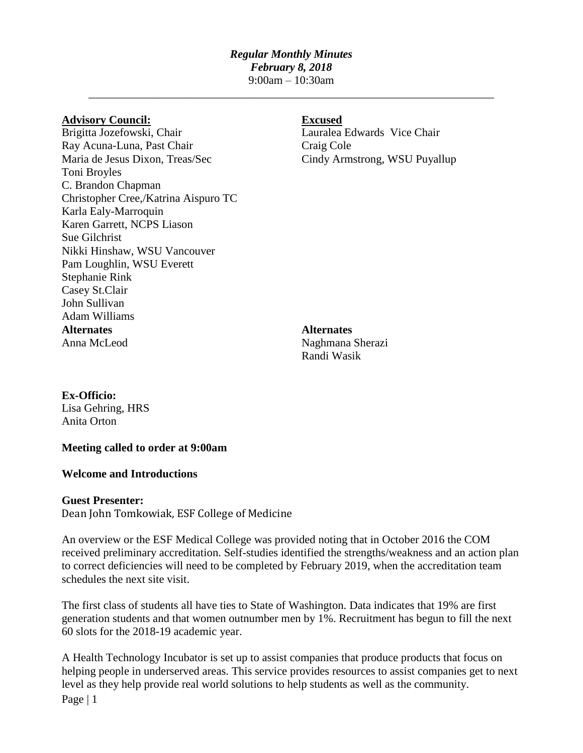## *Regular Monthly Minutes February 8, 2018* 9:00am – 10:30am

\_\_\_\_\_\_\_\_\_\_\_\_\_\_\_\_\_\_\_\_\_\_\_\_\_\_\_\_\_\_\_\_\_\_\_\_\_\_\_\_\_\_\_\_\_\_\_\_\_\_\_\_\_\_\_\_\_\_\_\_\_\_\_\_\_\_\_\_\_\_\_

#### **Advisory Council: Excused**

Brigitta Jozefowski, Chair **Lauralea Edwards** Vice Chair Ray Acuna-Luna, Past Chair Craig Cole Maria de Jesus Dixon, Treas/Sec Cindy Armstrong, WSU Puyallup Toni Broyles C. Brandon Chapman Christopher Cree,/Katrina Aispuro TC Karla Ealy-Marroquin Karen Garrett, NCPS Liason Sue Gilchrist Nikki Hinshaw, WSU Vancouver Pam Loughlin, WSU Everett Stephanie Rink Casey St.Clair John Sullivan Adam Williams **Alternates Alternates** Anna McLeod Naghmana Sherazi

Randi Wasik

**Ex-Officio:** Lisa Gehring, HRS Anita Orton

#### **Meeting called to order at 9:00am**

#### **Welcome and Introductions**

#### **Guest Presenter:**

Dean John Tomkowiak, ESF College of Medicine

An overview or the ESF Medical College was provided noting that in October 2016 the COM received preliminary accreditation. Self-studies identified the strengths/weakness and an action plan to correct deficiencies will need to be completed by February 2019, when the accreditation team schedules the next site visit.

The first class of students all have ties to State of Washington. Data indicates that 19% are first generation students and that women outnumber men by 1%. Recruitment has begun to fill the next 60 slots for the 2018-19 academic year.

Page | 1 A Health Technology Incubator is set up to assist companies that produce products that focus on helping people in underserved areas. This service provides resources to assist companies get to next level as they help provide real world solutions to help students as well as the community.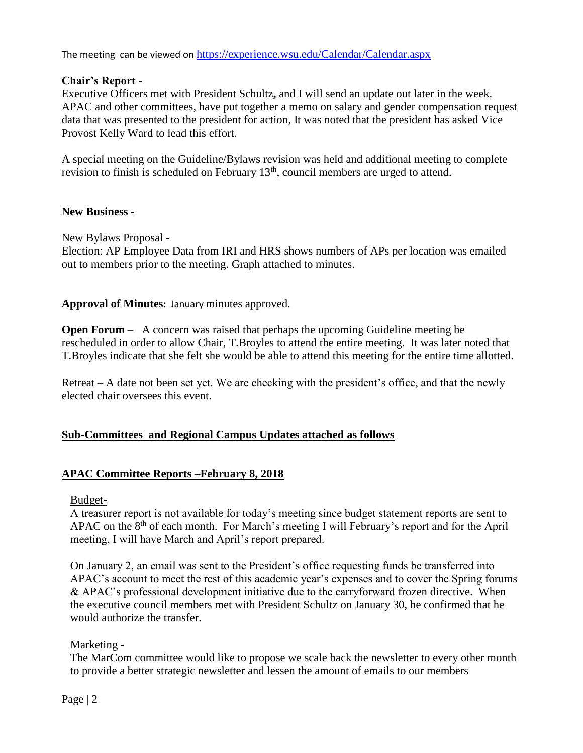The meeting can be viewed on <https://experience.wsu.edu/Calendar/Calendar.aspx>

## **Chair's Report -**

Executive Officers met with President Schultz**,** and I will send an update out later in the week. APAC and other committees, have put together a memo on salary and gender compensation request data that was presented to the president for action, It was noted that the president has asked Vice Provost Kelly Ward to lead this effort.

A special meeting on the Guideline/Bylaws revision was held and additional meeting to complete revision to finish is scheduled on February 13<sup>th</sup>, council members are urged to attend.

## **New Business -**

New Bylaws Proposal -

Election: AP Employee Data from IRI and HRS shows numbers of APs per location was emailed out to members prior to the meeting. Graph attached to minutes.

# **Approval of Minutes:** January minutes approved.

**Open Forum** – A concern was raised that perhaps the upcoming Guideline meeting be rescheduled in order to allow Chair, T.Broyles to attend the entire meeting. It was later noted that T.Broyles indicate that she felt she would be able to attend this meeting for the entire time allotted.

Retreat – A date not been set yet. We are checking with the president's office, and that the newly elected chair oversees this event.

# **Sub-Committees and Regional Campus Updates attached as follows**

# **APAC Committee Reports –February 8, 2018**

Budget-

A treasurer report is not available for today's meeting since budget statement reports are sent to APAC on the  $8<sup>th</sup>$  of each month. For March's meeting I will February's report and for the April meeting, I will have March and April's report prepared.

On January 2, an email was sent to the President's office requesting funds be transferred into APAC's account to meet the rest of this academic year's expenses and to cover the Spring forums & APAC's professional development initiative due to the carryforward frozen directive. When the executive council members met with President Schultz on January 30, he confirmed that he would authorize the transfer.

## Marketing -

The MarCom committee would like to propose we scale back the newsletter to every other month to provide a better strategic newsletter and lessen the amount of emails to our members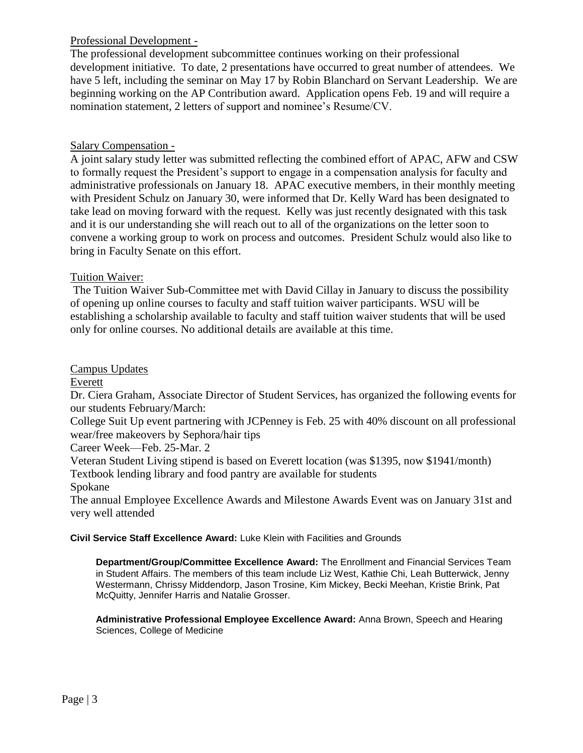# Professional Development -

The professional development subcommittee continues working on their professional development initiative. To date, 2 presentations have occurred to great number of attendees. We have 5 left, including the seminar on May 17 by Robin Blanchard on Servant Leadership. We are beginning working on the AP Contribution award. Application opens Feb. 19 and will require a nomination statement, 2 letters of support and nominee's Resume/CV.

## Salary Compensation -

A joint salary study letter was submitted reflecting the combined effort of APAC, AFW and CSW to formally request the President's support to engage in a compensation analysis for faculty and administrative professionals on January 18. APAC executive members, in their monthly meeting with President Schulz on January 30, were informed that Dr. Kelly Ward has been designated to take lead on moving forward with the request. Kelly was just recently designated with this task and it is our understanding she will reach out to all of the organizations on the letter soon to convene a working group to work on process and outcomes. President Schulz would also like to bring in Faculty Senate on this effort.

## Tuition Waiver:

The Tuition Waiver Sub-Committee met with David Cillay in January to discuss the possibility of opening up online courses to faculty and staff tuition waiver participants. WSU will be establishing a scholarship available to faculty and staff tuition waiver students that will be used only for online courses. No additional details are available at this time.

#### Campus Updates

Everett

Dr. Ciera Graham, Associate Director of Student Services, has organized the following events for our students February/March:

College Suit Up event partnering with JCPenney is Feb. 25 with 40% discount on all professional wear/free makeovers by Sephora/hair tips

Career Week—Feb. 25-Mar. 2

Veteran Student Living stipend is based on Everett location (was \$1395, now \$1941/month) Textbook lending library and food pantry are available for students

Spokane

The annual Employee Excellence Awards and Milestone Awards Event was on January 31st and very well attended

**Civil Service Staff Excellence Award:** Luke Klein with Facilities and Grounds

**Department/Group/Committee Excellence Award:** The Enrollment and Financial Services Team in Student Affairs. The members of this team include Liz West, Kathie Chi, Leah Butterwick, Jenny Westermann, Chrissy Middendorp, Jason Trosine, Kim Mickey, Becki Meehan, Kristie Brink, Pat McQuitty, Jennifer Harris and Natalie Grosser.

**Administrative Professional Employee Excellence Award:** Anna Brown, Speech and Hearing Sciences, College of Medicine